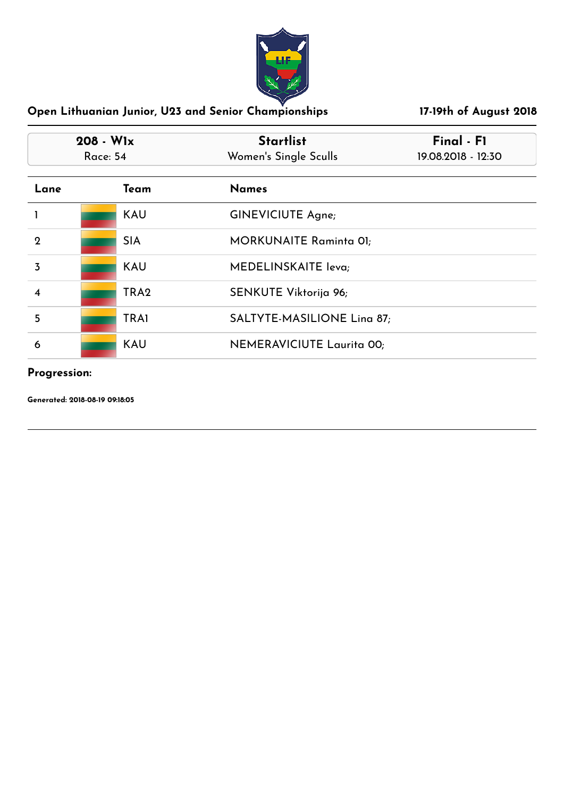

| $208 - W1x$<br><b>Race: 54</b> |                  | <b>Startlist</b><br>Women's Single Sculls | Final - F1<br>19.08.2018 - 12:30 |
|--------------------------------|------------------|-------------------------------------------|----------------------------------|
| Lane                           | Team             | <b>Names</b>                              |                                  |
|                                | <b>KAU</b>       | <b>GINEVICIUTE Agne;</b>                  |                                  |
| $\mathbf{2}$                   | <b>SIA</b>       | <b>MORKUNAITE Raminta 01;</b>             |                                  |
| 3                              | <b>KAU</b>       | MEDELINSKAITE leva;                       |                                  |
| $\boldsymbol{4}$               | TRA <sub>2</sub> | SENKUTE Viktorija 96;                     |                                  |
| 5                              | <b>TRA1</b>      | SALTYTE-MASILIONE Lina 87;                |                                  |
| 6                              | <b>KAU</b>       | NEMERAVICIUTE Laurita 00;                 |                                  |

#### **Progression:**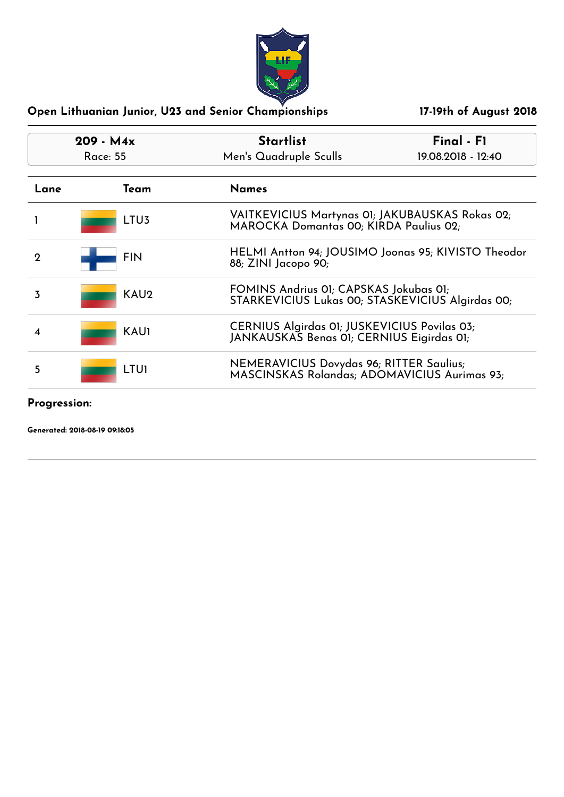

| $209 - M4x$<br>Race: 55 |                  | Final - F1<br><b>Startlist</b><br>Men's Quadruple Sculls<br>$19.08.2018 - 12:40$           |  |
|-------------------------|------------------|--------------------------------------------------------------------------------------------|--|
| Lane                    | Team             | <b>Names</b>                                                                               |  |
|                         | LTU <sub>3</sub> | VAITKEVICIUS Martynas 01; JAKUBAUSKAS Rokas 02;<br>MAROCKA Domantas 00; KIRDA Paulius 02;  |  |
| $\Omega$                | <b>FIN</b>       | HELMI Antton 94; JOUSIMO Joonas 95; KIVISTO Theodor<br>88; ZINI Jacopo 90;                 |  |
| 3                       | KAU <sub>2</sub> | FOMINS Andrius 01; CAPSKAS Jokubas 01;<br>STARKEVICIUS Lukas 00; STASKEVICIUS Algirdas 00; |  |
| 4                       | <b>KAU1</b>      | CERNIUS Algirdas 01; JUSKEVICIUS Povilas 03;<br>JANKAUSKAS Benas 01; CERNIUS Eigirdas 01;  |  |
| 5                       | <b>LTUI</b>      | NEMERAVICIUS Dovydas 96; RITTER Saulius;<br>MASCINSKAS Rolandas; ADOMAVICIUS Aurimas 93;   |  |

**Progression:**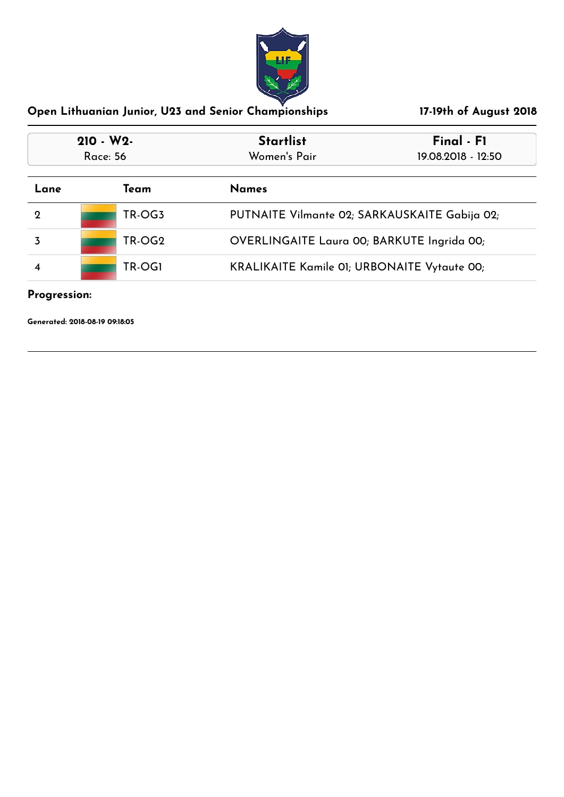

| $210 - W2$<br><b>Race: 56</b> |        | Final - F1<br><b>Startlist</b><br>Women's Pair<br>19.08.2018 - 12:50 |  |
|-------------------------------|--------|----------------------------------------------------------------------|--|
| Lane                          | Team   | <b>Names</b>                                                         |  |
| $\mathbf 2$                   | TR-OG3 | PUTNAITE Vilmante 02; SARKAUSKAITE Gabija 02;                        |  |
|                               | TR-OG2 | OVERLINGAITE Laura 00; BARKUTE Ingrida 00;                           |  |
|                               | TR-OG1 | <b>KRALIKAITE Kamile 01; URBONAITE Vytaute 00;</b>                   |  |

# **Progression:**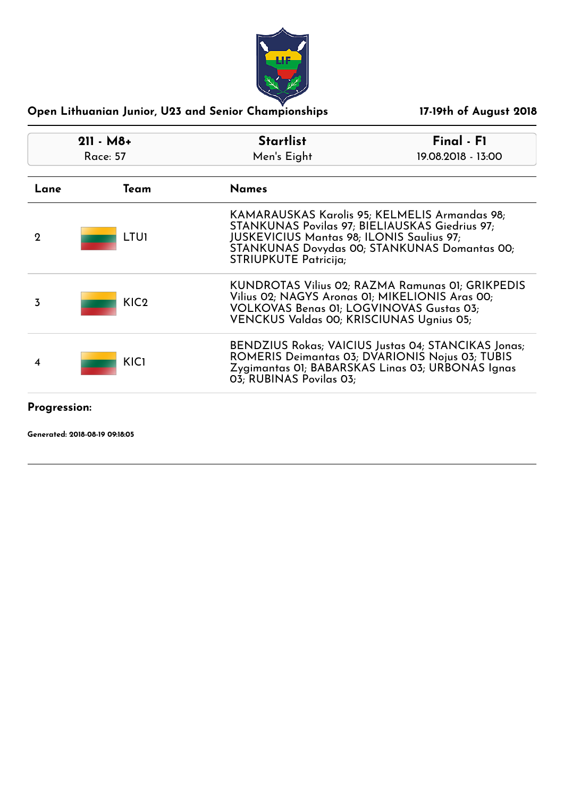

| $211 - M8+$<br>Race: 57 |                  | <b>Startlist</b><br>Men's Eight                                                                                                                                                                                                     | Final - F1<br>19.08.2018 - 13:00 |
|-------------------------|------------------|-------------------------------------------------------------------------------------------------------------------------------------------------------------------------------------------------------------------------------------|----------------------------------|
| Lane                    | Team             | <b>Names</b>                                                                                                                                                                                                                        |                                  |
| 2                       | <b>LTUI</b>      | KAMARAUSKAS Karolis 95; KELMELIS Armandas 98;<br>STANKUNAS Povilas 97; BIELIAUSKAS Giedrius 97;<br><b>JUSKEVICIUS Mantas 98; ILONIS Saulius 97;</b><br>STANKUNAS Dovydas 00; STANKUNAS Domantas 00;<br><b>STRIUPKUTE Patricija;</b> |                                  |
| 3                       | KIC <sub>2</sub> | KUNDROTAS Vilius 02; RAZMA Ramunas 01; GRIKPEDIS<br>Vilius 02; NAGYS Aronas 01; MIKELIONIS Aras 00;<br><b>VOLKOVAS Benas 01; LOGVINOVAS Gustas 03;</b><br>VENCKUS Valdas 00; KRISCIUNAS Ugnius 05;                                  |                                  |
|                         | KIC1             | BENDZIUS Rokas; VAICIUS Justas 04; STANCIKAS Jonas;<br>ROMERIS Deimantas 03; DVARIONIS Nojus 03; TUBIS<br>Zygimantas 01; BABARSKAS Linas 03; URBONAS Ignas<br>03; RUBINAS Povilas 03;                                               |                                  |

**Progression:**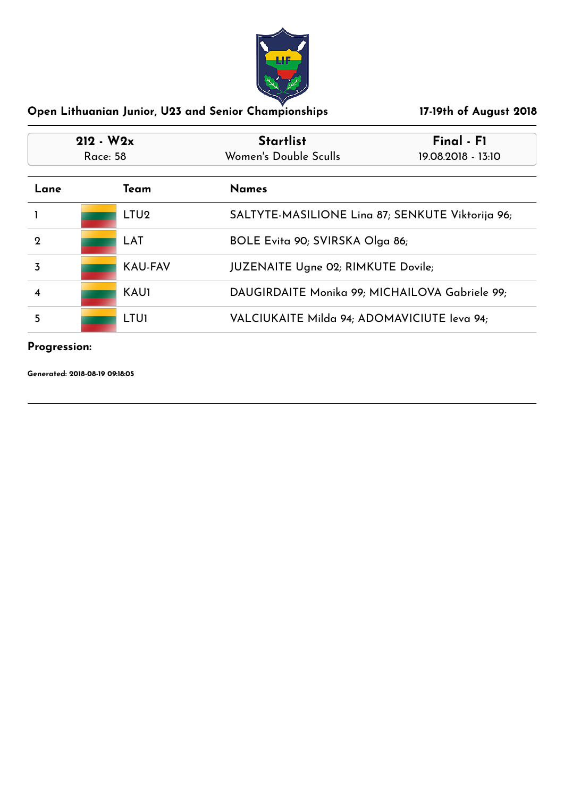

| $212 - W2x$<br><b>Race: 58</b> |  |                  | <b>Startlist</b><br>Women's Double Sculls   | Final - F1<br>19.08.2018 - 13:10                 |  |
|--------------------------------|--|------------------|---------------------------------------------|--------------------------------------------------|--|
| Lane                           |  | Team             | <b>Names</b>                                |                                                  |  |
|                                |  | LTU <sub>2</sub> |                                             | SALTYTE-MASILIONE Lina 87; SENKUTE Viktorija 96; |  |
| 2                              |  | LAT              |                                             | BOLE Evita 90; SVIRSKA Olga 86;                  |  |
| 3                              |  | <b>KAU-FAV</b>   |                                             | <b>JUZENAITE Ugne 02; RIMKUTE Dovile;</b>        |  |
| 4                              |  | <b>KAU1</b>      |                                             | DAUGIRDAITE Monika 99; MICHAILOVA Gabriele 99;   |  |
| 5                              |  | <b>LTUI</b>      | VALCIUKAITE Milda 94; ADOMAVICIUTE leva 94; |                                                  |  |

# **Progression:**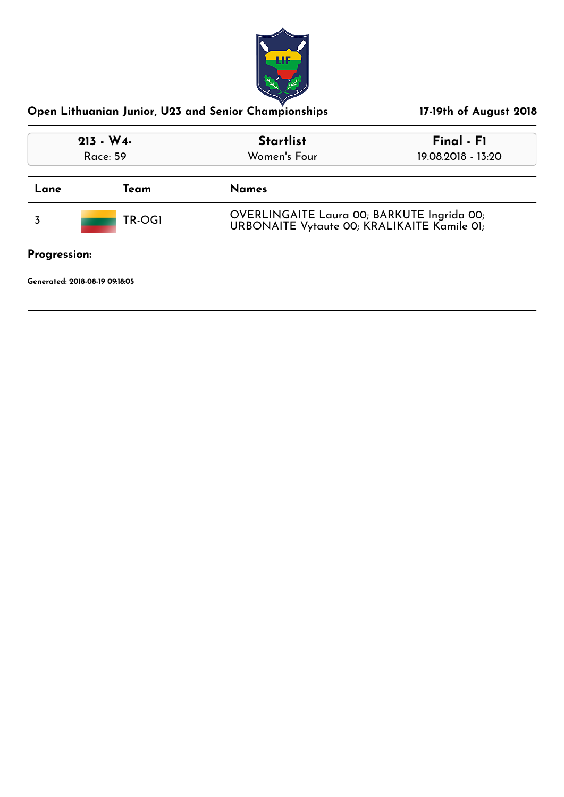

| $213 - W4$<br>Race: 59 |        | <b>Startlist</b><br>Women's Four                                                          | Final - F1<br>19.08.2018 - 13:20 |
|------------------------|--------|-------------------------------------------------------------------------------------------|----------------------------------|
| Lane                   | Team   | <b>Names</b>                                                                              |                                  |
|                        | TR-OG1 | OVERLINGAITE Laura 00; BARKUTE Ingrida 00;<br>URBONAITE Vytaute 00; KRALIKAITE Kamile 01; |                                  |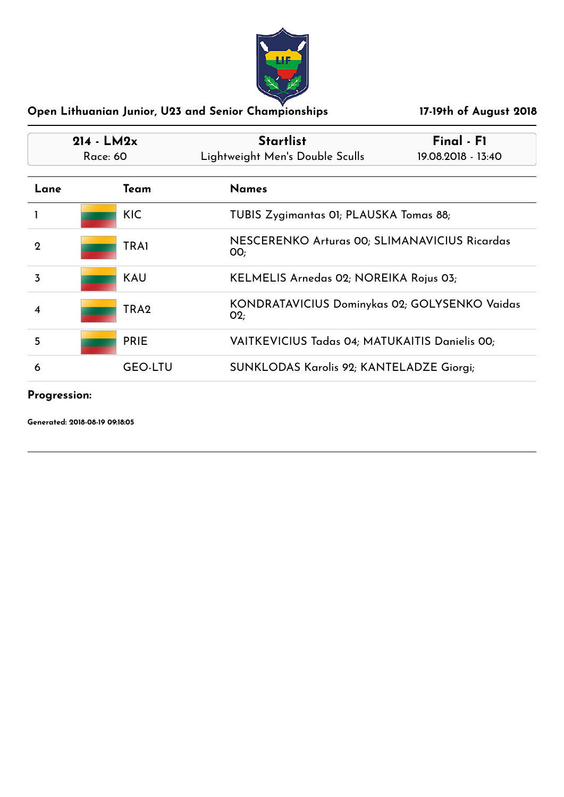

| $214 - LM2x$<br>Race: 60 |                  | <b>Startlist</b><br>Lightweight Men's Double Sculls   | Final - F1<br>19.08.2018 - 13:40               |  |
|--------------------------|------------------|-------------------------------------------------------|------------------------------------------------|--|
| Lane                     | Team             | <b>Names</b>                                          |                                                |  |
|                          | <b>KIC</b>       |                                                       | TUBIS Zygimantas OI; PLAUSKA Tomas 88;         |  |
| 2                        | <b>TRA1</b>      | OO;                                                   | NESCERENKO Arturas 00; SLIMANAVICIUS Ricardas  |  |
| $\overline{3}$           | <b>KAU</b>       | KELMELIS Arnedas 02; NOREIKA Rojus 03;                |                                                |  |
| 4                        | TRA <sub>2</sub> | KONDRATAVICIUS Dominykas 02; GOLYSENKO Vaidas<br>O(2) |                                                |  |
| 5                        | <b>PRIE</b>      |                                                       | VAITKEVICIUS Tadas 04; MATUKAITIS Danielis 00; |  |
| 6                        | <b>GEO-LTU</b>   |                                                       | SUNKLODAS Karolis 92; KANTELADZE Giorgi;       |  |

# **Progression:**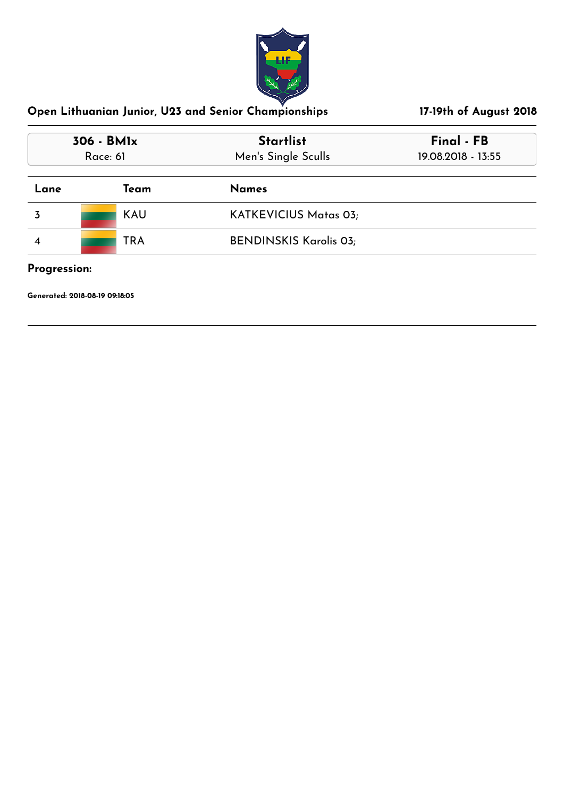

| 306 - BMIx<br>Race: 61 |            | <b>Startlist</b><br>Men's Single Sculls | Final - FB<br>19.08.2018 - 13:55 |
|------------------------|------------|-----------------------------------------|----------------------------------|
| Lane                   | Team       | <b>Names</b>                            |                                  |
| 3                      | KAU        | <b>KATKEVICIUS Matas 03;</b>            |                                  |
|                        | <b>TRA</b> | <b>BENDINSKIS Karolis 03;</b>           |                                  |
| Progression:           |            |                                         |                                  |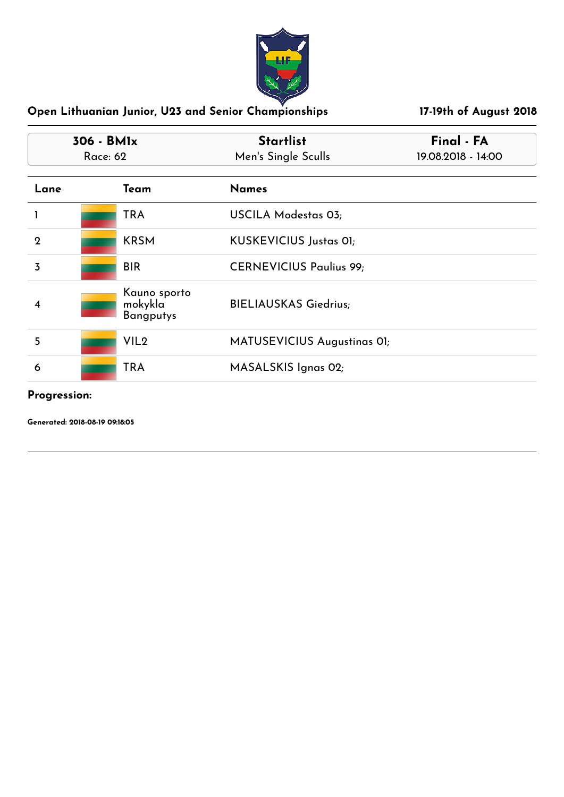

| 306 - BMIx<br>Race: 62 |                                             | <b>Startlist</b><br>Men's Single Sculls | Final - FA<br>19.08.2018 - 14:00 |
|------------------------|---------------------------------------------|-----------------------------------------|----------------------------------|
| Lane                   | Team                                        | <b>Names</b>                            |                                  |
|                        | <b>TRA</b>                                  | USCILA Modestas 03;                     |                                  |
| $\mathbf{2}$           | <b>KRSM</b>                                 | <b>KUSKEVICIUS Justas 01;</b>           |                                  |
| $\overline{3}$         | <b>BIR</b>                                  | <b>CERNEVICIUS Paulius 99;</b>          |                                  |
| 4                      | Kauno sporto<br>mokykla<br><b>Bangputys</b> | <b>BIELIAUSKAS Giedrius;</b>            |                                  |
| 5                      | VIL <sub>2</sub>                            | MATUSEVICIUS Augustinas OI;             |                                  |
| 6                      | <b>TRA</b>                                  | MASALSKIS Ignas 02;                     |                                  |

**Progression:**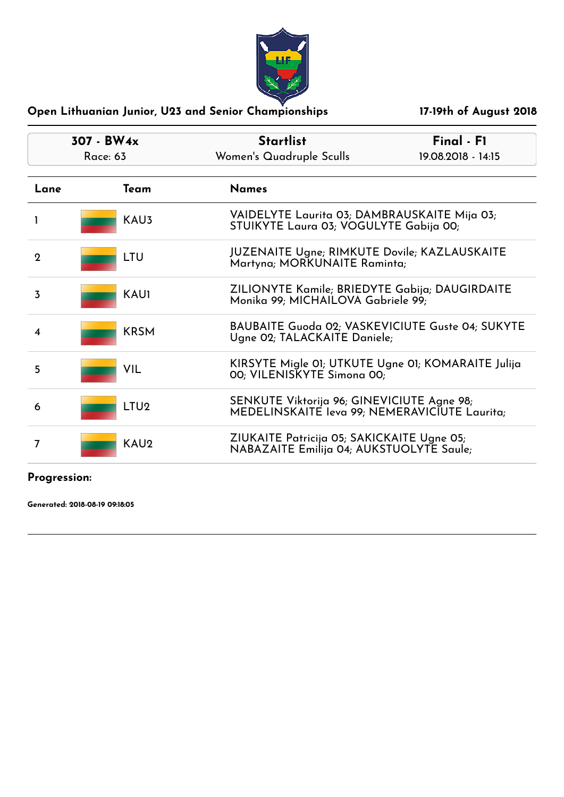

| 307 - BW4x<br><b>Race: 63</b> |                  | <b>Startlist</b><br>Women's Quadruple Sculls                                                | Final - F1<br>19.08.2018 - 14:15                                                       |  |
|-------------------------------|------------------|---------------------------------------------------------------------------------------------|----------------------------------------------------------------------------------------|--|
| Lane                          | Team             | <b>Names</b>                                                                                |                                                                                        |  |
|                               | KAU3             |                                                                                             | VAIDELYTE Laurita 03; DAMBRAUSKAITE Mija 03;<br>STUIKYTE Laura 03; VOGULYTE Gabija 00; |  |
| $\mathbf 2$                   | LTU              |                                                                                             | JUZENAITE Ugne; RIMKUTE Dovile; KAZLAUSKAITE<br>Martyna; MORKUNAITE Raminta;           |  |
| 3                             | <b>KAU1</b>      | ZILIONYTE Kamile; BRIEDYTE Gabija; DAUGIRDAITE<br>Monika 99; MICHAILOVA Gabriele 99;        |                                                                                        |  |
| 4                             | <b>KRSM</b>      |                                                                                             | BAUBAITE Guoda 02; VASKEVICIUTE Guste 04; SUKYTE<br>Ugne 02; TALACKAITE Daniele;       |  |
| 5                             | VIL              |                                                                                             | KIRSYTE Migle 01; UTKUTE Ugne 01; KOMARAITE Julija<br>00; VILENISKYTE Simona 00;       |  |
| 6                             | LTU <sub>2</sub> | SENKUTE Viktorija 96; GINEVICIUTE Agne 98;<br>MEDELINSKAITE leva 99; NEMERAVICIUTE Laurita; |                                                                                        |  |
| 7                             | KAU <sub>2</sub> | ZIUKAITE Patricija 05; SAKICKAITE Ugne 05;<br>NABAZAITE Emilija 04; AUKSTUOLYTE Saule;      |                                                                                        |  |
| $D_{\text{max}}$              |                  |                                                                                             |                                                                                        |  |

#### **Progression:**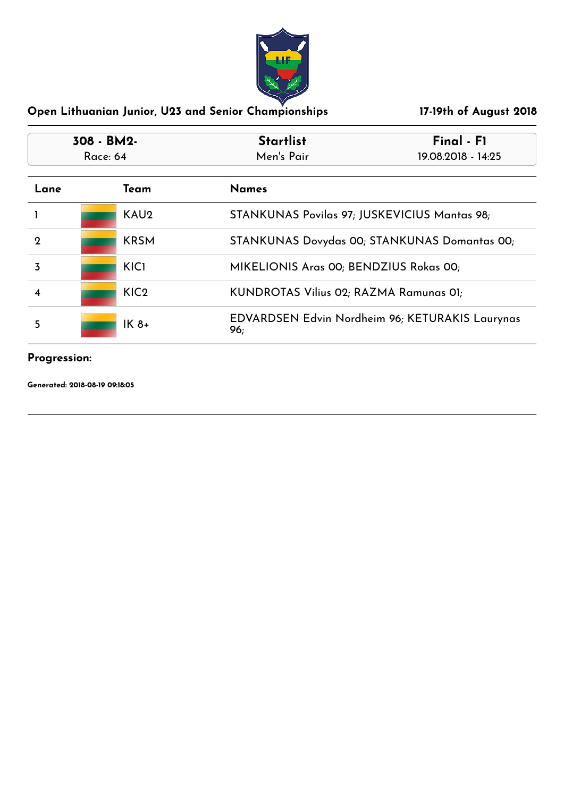

| 308 - BM2-<br>Race: 64 |                  | <b>Startlist</b>                       | Final - F1                                             |  |
|------------------------|------------------|----------------------------------------|--------------------------------------------------------|--|
|                        |                  | Men's Pair                             | 19.08.2018 - 14:25                                     |  |
| Lane                   | Team             | <b>Names</b>                           |                                                        |  |
|                        | KAU <sub>2</sub> |                                        | STANKUNAS Povilas 97; JUSKEVICIUS Mantas 98;           |  |
| 2                      | <b>KRSM</b>      |                                        | STANKUNAS Dovydas 00; STANKUNAS Domantas 00;           |  |
| 3                      | KIC1             |                                        | MIKELIONIS Aras 00; BENDZIUS Rokas 00;                 |  |
|                        | KIC <sub>2</sub> | KUNDROTAS Vilius 02; RAZMA Ramunas 01; |                                                        |  |
| 5                      | $IK8+$           | 96;                                    | <b>EDVARDSEN Edvin Nordheim 96; KETURAKIS Laurynas</b> |  |

# **Progression:**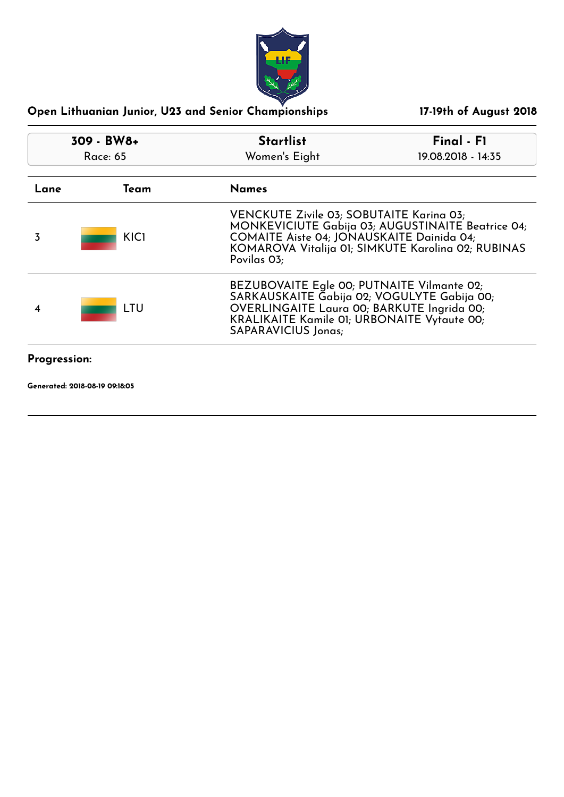

| 309 - BW8+<br>Race: 65 |             | <b>Startlist</b>                                                                                                                                                                                                            | Final - F1         |
|------------------------|-------------|-----------------------------------------------------------------------------------------------------------------------------------------------------------------------------------------------------------------------------|--------------------|
|                        |             | Women's Eight                                                                                                                                                                                                               | 19.08.2018 - 14:35 |
| Lane                   | Team        | <b>Names</b>                                                                                                                                                                                                                |                    |
| 3                      | <b>KICI</b> | VENCKUTE Zivile 03; SOBUTAITE Karina 03;<br>MONKEVICIUTE Gabija 03; AUGUSTINAITE Beatrice 04;<br>COMAITE Aiste 04; JONAUSKAITE Dainida 04;<br>KOMAROVA Vitalija 01; SIMKUTE Karolina 02; RUBINAS<br>Povilas 03;             |                    |
|                        | LTU         | BEZUBOVAITE Egle 00; PUTNAITE Vilmante 02;<br>SARKAUSKAITE Gabija 02; VOGULYTE Gabija 00;<br>OVERLINGAITE Laura 00; BARKUTE Ingrida 00;<br><b>KRALIKAITE Kamile 01; URBONAITE Vytaute 00;</b><br><b>SAPARAVICIUS Jonas;</b> |                    |
| <b>Progression:</b>    |             |                                                                                                                                                                                                                             |                    |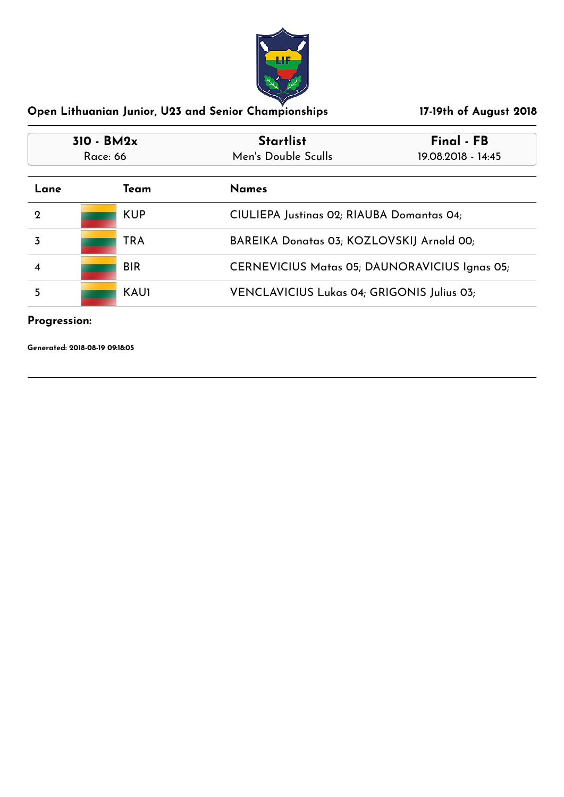

| $310 - BM2x$<br>Race: 66 |             | <b>Startlist</b>                                     | Final - FB<br>19.08.2018 - 14:45 |
|--------------------------|-------------|------------------------------------------------------|----------------------------------|
|                          |             | Men's Double Sculls                                  |                                  |
| Lane                     | Team        | <b>Names</b>                                         |                                  |
| $\Omega$                 | <b>KUP</b>  | CIULIEPA Justinas 02; RIAUBA Domantas 04;            |                                  |
|                          | <b>TRA</b>  | BAREIKA Donatas 03; KOZLOVSKIJ Arnold 00;            |                                  |
|                          | <b>BIR</b>  | <b>CERNEVICIUS Matas 05; DAUNORAVICIUS Ignas 05;</b> |                                  |
| 5                        | <b>KAU1</b> | VENCLAVICIUS Lukas 04; GRIGONIS Julius 03;           |                                  |

#### **Progression:**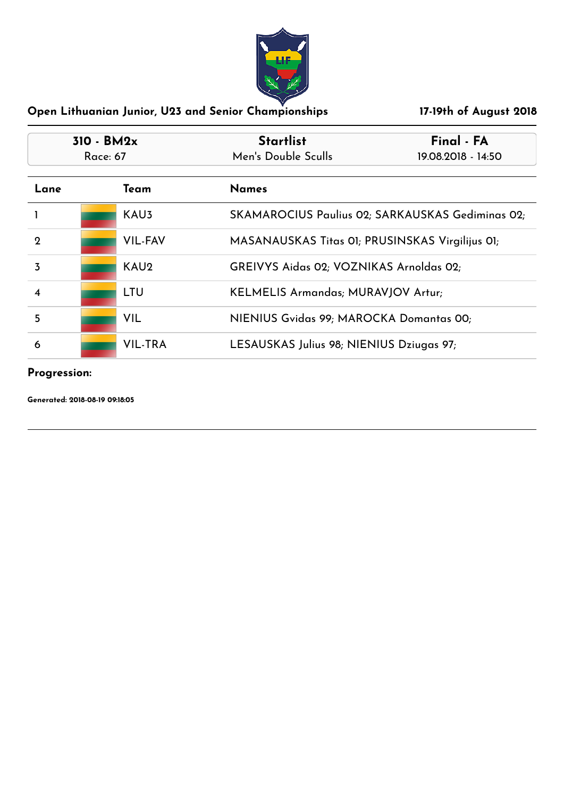

| 310 - BM2x<br>Race: 67 |                  | <b>Startlist</b>                                | Final - FA                                       |
|------------------------|------------------|-------------------------------------------------|--------------------------------------------------|
|                        |                  | Men's Double Sculls                             | 19.08.2018 - 14:50                               |
| Lane                   | Team             | <b>Names</b>                                    |                                                  |
|                        | KAU <sub>3</sub> |                                                 | SKAMAROCIUS Paulius 02; SARKAUSKAS Gediminas 02; |
| 2                      | <b>VIL-FAV</b>   | MASANAUSKAS Titas 01; PRUSINSKAS Virgilijus 01; |                                                  |
| 3                      | KAU <sub>2</sub> | GREIVYS Aidas 02; VOZNIKAS Arnoldas 02;         |                                                  |
| 4                      | LTU              | KELMELIS Armandas; MURAVJOV Artur;              |                                                  |
| 5                      | <b>VIL</b>       | NIENIUS Gvidas 99; MAROCKA Domantas 00;         |                                                  |
| 6                      | <b>VIL-TRA</b>   | LESAUSKAS Julius 98; NIENIUS Dziugas 97;        |                                                  |

#### **Progression:**